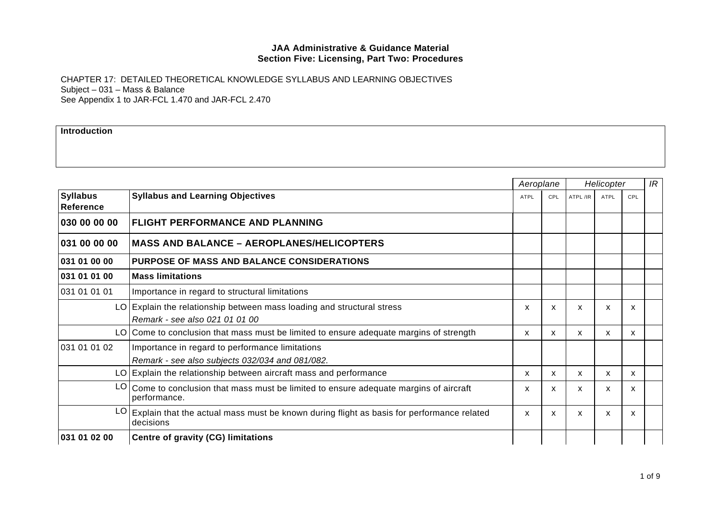CHAPTER 17: DETAILED THEORETICAL KNOWLEDGE SYLLABUS AND LEARNING OBJECTIVES Subject – 031 – Mass & Balance See Appendix 1 to JAR-FCL 1.470 and JAR-FCL 2.470

**Introduction** 

|                                     |                                                                                                          | Aeroplane   |              | Helicopter |      |     | IR |
|-------------------------------------|----------------------------------------------------------------------------------------------------------|-------------|--------------|------------|------|-----|----|
| <b>Syllabus</b><br><b>Reference</b> | <b>Syllabus and Learning Objectives</b>                                                                  | <b>ATPL</b> | CPL          | ATPL /IR   | ATPL | CPL |    |
| 030 00 00 00                        | <b>FLIGHT PERFORMANCE AND PLANNING</b>                                                                   |             |              |            |      |     |    |
| 031 00 00 00                        | <b>MASS AND BALANCE - AEROPLANES/HELICOPTERS</b>                                                         |             |              |            |      |     |    |
| 031 01 00 00                        | <b>PURPOSE OF MASS AND BALANCE CONSIDERATIONS</b>                                                        |             |              |            |      |     |    |
| 031 01 01 00                        | <b>Mass limitations</b>                                                                                  |             |              |            |      |     |    |
| 031 01 01 01                        | Importance in regard to structural limitations                                                           |             |              |            |      |     |    |
|                                     | LO Explain the relationship between mass loading and structural stress<br>Remark - see also 021 01 01 00 | X           | $\mathsf{x}$ | X          | X    | X   |    |
|                                     | LO Come to conclusion that mass must be limited to ensure adequate margins of strength                   | X           | X            | X          | X    | X.  |    |
| 031 01 01 02                        | Importance in regard to performance limitations<br>Remark - see also subjects 032/034 and 081/082.       |             |              |            |      |     |    |
|                                     | LO Explain the relationship between aircraft mass and performance                                        | X           | X            | X          | X    | x   |    |
| LO.                                 | Come to conclusion that mass must be limited to ensure adequate margins of aircraft<br>performance.      | X.          | X.           | X          | x    | x   |    |
|                                     | Explain that the actual mass must be known during flight as basis for performance related<br>decisions   | X           | X            | X          | x    | x   |    |
| 031 01 02 00                        | Centre of gravity (CG) limitations                                                                       |             |              |            |      |     |    |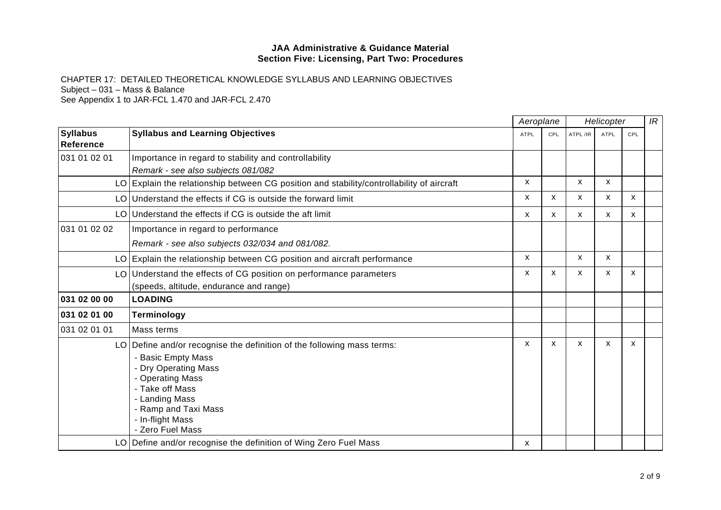CHAPTER 17: DETAILED THEORETICAL KNOWLEDGE SYLLABUS AND LEARNING OBJECTIVES Subject – 031 – Mass & Balance

|                                     |                                                                                           |              | Aeroplane<br>Helicopter   |                           |              |     | IR |
|-------------------------------------|-------------------------------------------------------------------------------------------|--------------|---------------------------|---------------------------|--------------|-----|----|
| <b>Syllabus</b><br><b>Reference</b> | <b>Syllabus and Learning Objectives</b>                                                   | <b>ATPL</b>  | CPL                       | ATPL /IR                  | <b>ATPL</b>  | CPL |    |
| 031 01 02 01                        | Importance in regard to stability and controllability                                     |              |                           |                           |              |     |    |
|                                     | Remark - see also subjects 081/082                                                        |              |                           |                           |              |     |    |
|                                     | LO Explain the relationship between CG position and stability/controllability of aircraft | X            |                           | $\boldsymbol{\mathsf{x}}$ | X            |     |    |
|                                     | LO Understand the effects if CG is outside the forward limit                              | X            | $\mathsf{x}$              | $\mathsf{x}$              | $\mathsf{x}$ | X   |    |
|                                     | LO Understand the effects if CG is outside the aft limit                                  | X            | $\mathsf{x}$              | $\boldsymbol{\mathsf{x}}$ | X            | X   |    |
| 031 01 02 02                        | Importance in regard to performance                                                       |              |                           |                           |              |     |    |
|                                     | Remark - see also subjects 032/034 and 081/082.                                           |              |                           |                           |              |     |    |
|                                     | LO Explain the relationship between CG position and aircraft performance                  | X            |                           | $\mathsf{x}$              | X            |     |    |
|                                     | LO Understand the effects of CG position on performance parameters                        | X            | X                         | X                         | X            | X   |    |
|                                     | (speeds, altitude, endurance and range)                                                   |              |                           |                           |              |     |    |
| 031 02 00 00                        | <b>LOADING</b>                                                                            |              |                           |                           |              |     |    |
| 031 02 01 00                        | <b>Terminology</b>                                                                        |              |                           |                           |              |     |    |
| 031 02 01 01                        | Mass terms                                                                                |              |                           |                           |              |     |    |
|                                     | LO Define and/or recognise the definition of the following mass terms:                    | $\mathsf{x}$ | $\boldsymbol{\mathsf{x}}$ | $\boldsymbol{\mathsf{x}}$ | X            | X   |    |
|                                     | - Basic Empty Mass                                                                        |              |                           |                           |              |     |    |
|                                     | - Dry Operating Mass                                                                      |              |                           |                           |              |     |    |
|                                     | - Operating Mass                                                                          |              |                           |                           |              |     |    |
|                                     | - Take off Mass                                                                           |              |                           |                           |              |     |    |
|                                     | - Landing Mass                                                                            |              |                           |                           |              |     |    |
|                                     | - Ramp and Taxi Mass<br>- In-flight Mass                                                  |              |                           |                           |              |     |    |
|                                     | - Zero Fuel Mass                                                                          |              |                           |                           |              |     |    |
|                                     | LO Define and/or recognise the definition of Wing Zero Fuel Mass                          | X            |                           |                           |              |     |    |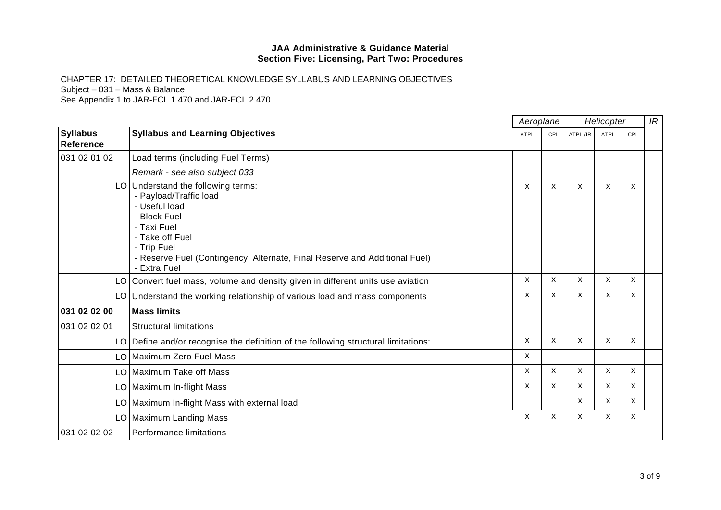CHAPTER 17: DETAILED THEORETICAL KNOWLEDGE SYLLABUS AND LEARNING OBJECTIVES Subject – 031 – Mass & Balance

|                                     |                                                                                                                                                                                                                                              |              | Aeroplane<br>Helicopter   |              |              |              | IR |
|-------------------------------------|----------------------------------------------------------------------------------------------------------------------------------------------------------------------------------------------------------------------------------------------|--------------|---------------------------|--------------|--------------|--------------|----|
| <b>Syllabus</b><br><b>Reference</b> | <b>Syllabus and Learning Objectives</b>                                                                                                                                                                                                      | <b>ATPL</b>  | CPL                       | ATPL/IR      | <b>ATPL</b>  | CPL          |    |
| 031 02 01 02                        | Load terms (including Fuel Terms)                                                                                                                                                                                                            |              |                           |              |              |              |    |
|                                     | Remark - see also subject 033                                                                                                                                                                                                                |              |                           |              |              |              |    |
|                                     | LO Understand the following terms:<br>- Payload/Traffic load<br>- Useful load<br>- Block Fuel<br>- Taxi Fuel<br>- Take off Fuel<br>- Trip Fuel<br>- Reserve Fuel (Contingency, Alternate, Final Reserve and Additional Fuel)<br>- Extra Fuel | X            | $\boldsymbol{\mathsf{x}}$ | X            | X            | X            |    |
|                                     | LO Convert fuel mass, volume and density given in different units use aviation                                                                                                                                                               | X            | $\mathsf{x}$              | $\mathsf{x}$ | $\mathsf{x}$ | X            |    |
|                                     | LO Understand the working relationship of various load and mass components                                                                                                                                                                   | X            | X                         | X            | X            | X            |    |
| 031 02 02 00                        | <b>Mass limits</b>                                                                                                                                                                                                                           |              |                           |              |              |              |    |
| 031 02 02 01                        | <b>Structural limitations</b>                                                                                                                                                                                                                |              |                           |              |              |              |    |
|                                     | LO Define and/or recognise the definition of the following structural limitations:                                                                                                                                                           | X            | $\mathsf{x}$              | X            | $\mathsf{x}$ | X            |    |
|                                     | LO Maximum Zero Fuel Mass                                                                                                                                                                                                                    | X            |                           |              |              |              |    |
|                                     | LO Maximum Take off Mass                                                                                                                                                                                                                     | $\mathsf{x}$ | $\mathsf{x}$              | X            | $\mathsf{x}$ | $\mathsf{x}$ |    |
|                                     | LO Maximum In-flight Mass                                                                                                                                                                                                                    | X            | X                         | X            | $\mathsf{x}$ | $\mathsf{x}$ |    |
|                                     | LO   Maximum In-flight Mass with external load                                                                                                                                                                                               |              |                           | X            | X            | X            |    |
|                                     | LO   Maximum Landing Mass                                                                                                                                                                                                                    | X            | X                         | X            | X            | X            |    |
| 031 02 02 02                        | <b>Performance limitations</b>                                                                                                                                                                                                               |              |                           |              |              |              |    |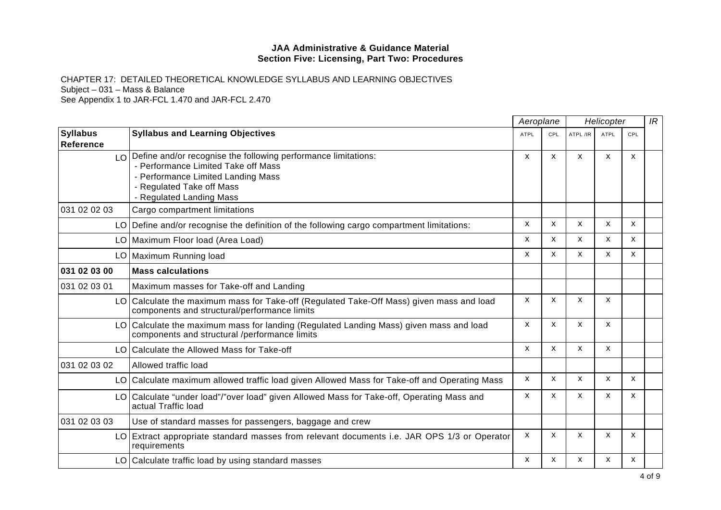CHAPTER 17: DETAILED THEORETICAL KNOWLEDGE SYLLABUS AND LEARNING OBJECTIVES Subject – 031 – Mass & Balance

|                                     |                                                                                                                                                                                                      | Aeroplane    |              | Helicopter                |              |                           | IR |
|-------------------------------------|------------------------------------------------------------------------------------------------------------------------------------------------------------------------------------------------------|--------------|--------------|---------------------------|--------------|---------------------------|----|
| <b>Syllabus</b><br><b>Reference</b> | <b>Syllabus and Learning Objectives</b>                                                                                                                                                              | <b>ATPL</b>  | CPL          | ATPL/IR                   | <b>ATPL</b>  | CPL                       |    |
| LO.                                 | Define and/or recognise the following performance limitations:<br>- Performance Limited Take off Mass<br>- Performance Limited Landing Mass<br>- Regulated Take off Mass<br>- Regulated Landing Mass | X            | X            | X                         | X            | X                         |    |
| 031 02 02 03                        | Cargo compartment limitations                                                                                                                                                                        |              |              |                           |              |                           |    |
|                                     | LO Define and/or recognise the definition of the following cargo compartment limitations:                                                                                                            | X            | $\mathsf{x}$ | X                         | X            | X                         |    |
|                                     | LO Maximum Floor load (Area Load)                                                                                                                                                                    | X            | X            | X                         | X            | X                         |    |
|                                     | LO   Maximum Running load                                                                                                                                                                            | X            | X            | $\boldsymbol{\mathsf{x}}$ | X            | $\boldsymbol{\mathsf{x}}$ |    |
| 031 02 03 00                        | <b>Mass calculations</b>                                                                                                                                                                             |              |              |                           |              |                           |    |
| 031 02 03 01                        | Maximum masses for Take-off and Landing                                                                                                                                                              |              |              |                           |              |                           |    |
|                                     | LO Calculate the maximum mass for Take-off (Regulated Take-Off Mass) given mass and load<br>components and structural/performance limits                                                             | $\mathsf{x}$ | X            | X                         | $\mathsf{x}$ |                           |    |
|                                     | LO Calculate the maximum mass for landing (Regulated Landing Mass) given mass and load<br>components and structural /performance limits                                                              | X            | X            | X                         | X            |                           |    |
|                                     | LO Calculate the Allowed Mass for Take-off                                                                                                                                                           | $\mathsf{x}$ | $\mathsf{x}$ | $\mathsf{x}$              | $\mathsf{X}$ |                           |    |
| 031 02 03 02                        | Allowed traffic load                                                                                                                                                                                 |              |              |                           |              |                           |    |
|                                     | LO Calculate maximum allowed traffic load given Allowed Mass for Take-off and Operating Mass                                                                                                         | X            | X            | X                         | X            | $\mathsf{x}$              |    |
|                                     | LO Calculate "under load"/"over load" given Allowed Mass for Take-off, Operating Mass and<br>actual Traffic load                                                                                     | X            | X            | X                         | X            | X                         |    |
| 031 02 03 03                        | Use of standard masses for passengers, baggage and crew                                                                                                                                              |              |              |                           |              |                           |    |
|                                     | LO Extract appropriate standard masses from relevant documents i.e. JAR OPS 1/3 or Operator<br>requirements                                                                                          | $\mathsf{x}$ | X            | $\boldsymbol{\mathsf{x}}$ | X            | $\boldsymbol{\mathsf{x}}$ |    |
|                                     | LO Calculate traffic load by using standard masses                                                                                                                                                   | X            | $\mathsf{x}$ | X                         | X            | X                         |    |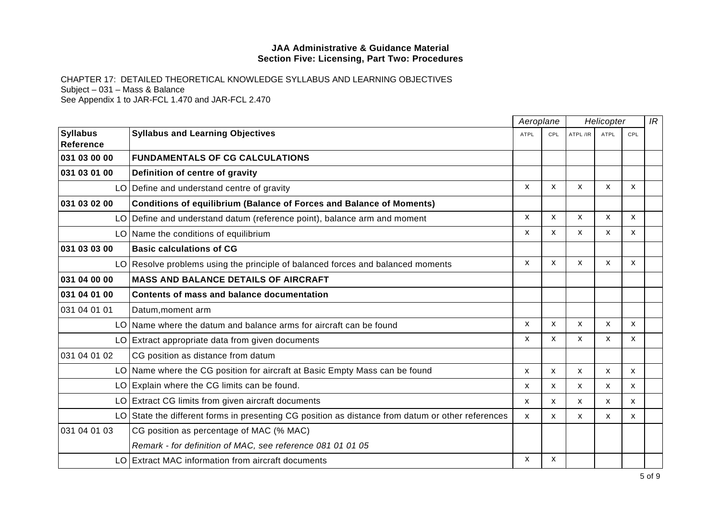CHAPTER 17: DETAILED THEORETICAL KNOWLEDGE SYLLABUS AND LEARNING OBJECTIVES Subject – 031 – Mass & Balance See Appendix 1 to JAR-FCL 1.470 and JAR-FCL 2.470

|                              |                                                                                                   | Aeroplane    |     | Helicopter                |      |     | IR |
|------------------------------|---------------------------------------------------------------------------------------------------|--------------|-----|---------------------------|------|-----|----|
| <b>Syllabus</b><br>Reference | <b>Syllabus and Learning Objectives</b>                                                           | <b>ATPL</b>  | CPL | ATPL /IR                  | ATPL | CPL |    |
| 031 03 00 00                 | <b>FUNDAMENTALS OF CG CALCULATIONS</b>                                                            |              |     |                           |      |     |    |
| 031 03 01 00                 | Definition of centre of gravity                                                                   |              |     |                           |      |     |    |
|                              | LO Define and understand centre of gravity                                                        | $\mathsf{x}$ | X   | X                         | X    | X   |    |
| 031 03 02 00                 | <b>Conditions of equilibrium (Balance of Forces and Balance of Moments)</b>                       |              |     |                           |      |     |    |
|                              | LO Define and understand datum (reference point), balance arm and moment                          | X            | X   | X                         | X    | X   |    |
|                              | LO Name the conditions of equilibrium                                                             | X            | X   | X                         | X    | X   |    |
| 031 03 03 00                 | <b>Basic calculations of CG</b>                                                                   |              |     |                           |      |     |    |
|                              | LO Resolve problems using the principle of balanced forces and balanced moments                   | X            | X   | X                         | X    | X   |    |
| 031 04 00 00                 | <b>MASS AND BALANCE DETAILS OF AIRCRAFT</b>                                                       |              |     |                           |      |     |    |
| 031 04 01 00                 | Contents of mass and balance documentation                                                        |              |     |                           |      |     |    |
| 031 04 01 01                 | Datum, moment arm                                                                                 |              |     |                           |      |     |    |
|                              | LO Name where the datum and balance arms for aircraft can be found                                | X            | X   | X                         | X    | X   |    |
|                              | LO Extract appropriate data from given documents                                                  | X            | X   | X                         | X    | X   |    |
| 031 04 01 02                 | CG position as distance from datum                                                                |              |     |                           |      |     |    |
|                              | LO Name where the CG position for aircraft at Basic Empty Mass can be found                       | X            | X   | $\boldsymbol{\mathsf{x}}$ | X    | X   |    |
|                              | LO Explain where the CG limits can be found.                                                      | X            | x   | X                         | X    | X   |    |
|                              | LO Extract CG limits from given aircraft documents                                                | X            | x   | X                         | x    | X   |    |
|                              | LO State the different forms in presenting CG position as distance from datum or other references | X            | X   | X                         | X    | X   |    |
| 031 04 01 03                 | CG position as percentage of MAC (% MAC)                                                          |              |     |                           |      |     |    |
|                              | Remark - for definition of MAC, see reference 081 01 01 05                                        |              |     |                           |      |     |    |
|                              | LO Extract MAC information from aircraft documents                                                | X.           | X   |                           |      |     |    |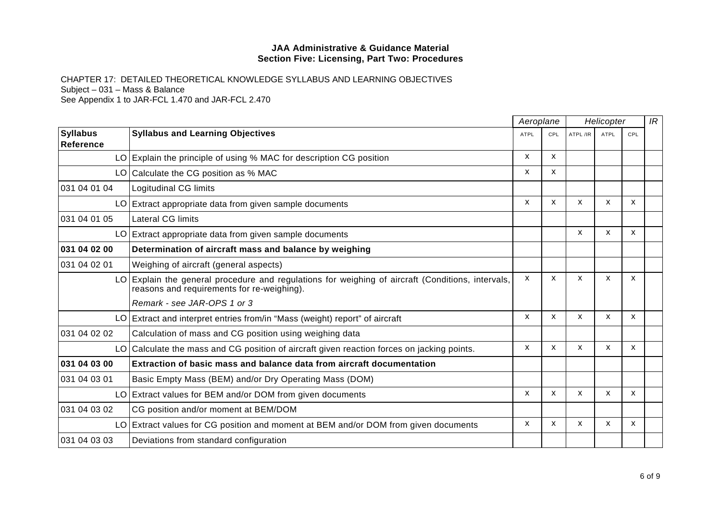CHAPTER 17: DETAILED THEORETICAL KNOWLEDGE SYLLABUS AND LEARNING OBJECTIVES Subject – 031 – Mass & Balance

|                                     |                                                                                                                                                 | Aeroplane    |              | Helicopter                |             |                           | IR |
|-------------------------------------|-------------------------------------------------------------------------------------------------------------------------------------------------|--------------|--------------|---------------------------|-------------|---------------------------|----|
| <b>Syllabus</b><br><b>Reference</b> | <b>Syllabus and Learning Objectives</b>                                                                                                         | <b>ATPL</b>  | <b>CPL</b>   | ATPL /IR                  | <b>ATPL</b> | CPL                       |    |
|                                     | LO Explain the principle of using % MAC for description CG position                                                                             | $\mathsf{x}$ | $\mathsf{x}$ |                           |             |                           |    |
|                                     | LO Calculate the CG position as % MAC                                                                                                           | X            | X            |                           |             |                           |    |
| 031 04 01 04                        | Logitudinal CG limits                                                                                                                           |              |              |                           |             |                           |    |
|                                     | LO Extract appropriate data from given sample documents                                                                                         | X            | X            | X                         | X           | X                         |    |
| 031 04 01 05                        | Lateral CG limits                                                                                                                               |              |              |                           |             |                           |    |
|                                     | LO Extract appropriate data from given sample documents                                                                                         |              |              | X                         | X           | X                         |    |
| 031 04 02 00                        | Determination of aircraft mass and balance by weighing                                                                                          |              |              |                           |             |                           |    |
| 031 04 02 01                        | Weighing of aircraft (general aspects)                                                                                                          |              |              |                           |             |                           |    |
|                                     | LO Explain the general procedure and regulations for weighing of aircraft (Conditions, intervals,<br>reasons and requirements for re-weighing). | X            | X            | X                         | X           | X                         |    |
|                                     | Remark - see JAR-OPS 1 or 3                                                                                                                     |              |              |                           |             |                           |    |
|                                     | LO Extract and interpret entries from/in "Mass (weight) report" of aircraft                                                                     | X            | $\mathsf{x}$ | $\mathsf{x}$              | X           | X                         |    |
| 031 04 02 02                        | Calculation of mass and CG position using weighing data                                                                                         |              |              |                           |             |                           |    |
|                                     | LO Calculate the mass and CG position of aircraft given reaction forces on jacking points.                                                      | X            | X            | $\boldsymbol{\mathsf{x}}$ | X           | $\boldsymbol{\mathsf{x}}$ |    |
| 031 04 03 00                        | Extraction of basic mass and balance data from aircraft documentation                                                                           |              |              |                           |             |                           |    |
| 031 04 03 01                        | Basic Empty Mass (BEM) and/or Dry Operating Mass (DOM)                                                                                          |              |              |                           |             |                           |    |
|                                     | LO Extract values for BEM and/or DOM from given documents                                                                                       | X            | X            | $\boldsymbol{\mathsf{x}}$ | X           | X                         |    |
| 031 04 03 02                        | CG position and/or moment at BEM/DOM                                                                                                            |              |              |                           |             |                           |    |
|                                     | LO Extract values for CG position and moment at BEM and/or DOM from given documents                                                             | X            | $\mathsf{x}$ | $\boldsymbol{\mathsf{x}}$ | X           | X                         |    |
| 031 04 03 03                        | Deviations from standard configuration                                                                                                          |              |              |                           |             |                           |    |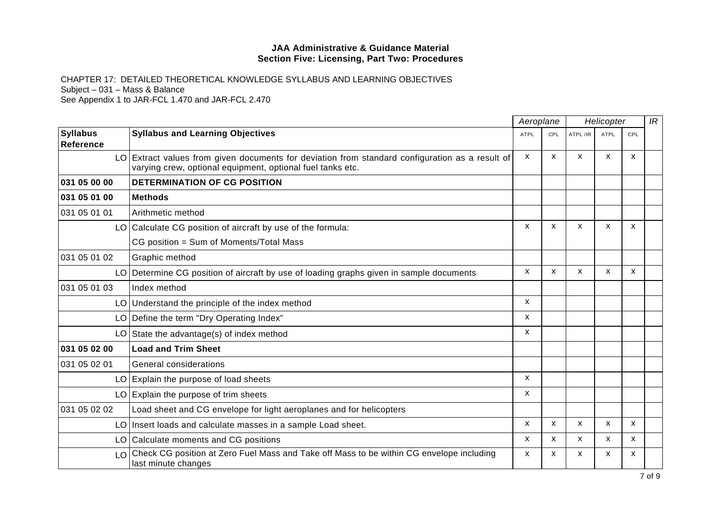CHAPTER 17: DETAILED THEORETICAL KNOWLEDGE SYLLABUS AND LEARNING OBJECTIVES Subject – 031 – Mass & Balance

|                                     |                                                                                                                                                               |              | Aeroplane                 |                           | Helicopter   |              |  |
|-------------------------------------|---------------------------------------------------------------------------------------------------------------------------------------------------------------|--------------|---------------------------|---------------------------|--------------|--------------|--|
| <b>Syllabus</b><br><b>Reference</b> | <b>Syllabus and Learning Objectives</b>                                                                                                                       | <b>ATPL</b>  | CPL                       | ATPL/IR                   | <b>ATPL</b>  | CPL          |  |
|                                     | LO Extract values from given documents for deviation from standard configuration as a result of<br>varying crew, optional equipment, optional fuel tanks etc. | X            | $\boldsymbol{\mathsf{x}}$ | X                         | X            | X            |  |
| 031 05 00 00                        | DETERMINATION OF CG POSITION                                                                                                                                  |              |                           |                           |              |              |  |
| 031 05 01 00                        | <b>Methods</b>                                                                                                                                                |              |                           |                           |              |              |  |
| 031 05 01 01                        | Arithmetic method                                                                                                                                             |              |                           |                           |              |              |  |
|                                     | LO Calculate CG position of aircraft by use of the formula:                                                                                                   | $\mathsf{x}$ | X                         | $\boldsymbol{\mathsf{x}}$ | X            | X            |  |
|                                     | CG position = Sum of Moments/Total Mass                                                                                                                       |              |                           |                           |              |              |  |
| 031 05 01 02                        | Graphic method                                                                                                                                                |              |                           |                           |              |              |  |
|                                     | LO Determine CG position of aircraft by use of loading graphs given in sample documents                                                                       | X            | $\boldsymbol{\mathsf{x}}$ | $\boldsymbol{\mathsf{x}}$ | X            | X            |  |
| 031 05 01 03                        | Index method                                                                                                                                                  |              |                           |                           |              |              |  |
|                                     | LO Understand the principle of the index method                                                                                                               | X            |                           |                           |              |              |  |
| LO I                                | Define the term "Dry Operating Index"                                                                                                                         | X            |                           |                           |              |              |  |
|                                     | LO State the advantage(s) of index method                                                                                                                     | $\mathsf{x}$ |                           |                           |              |              |  |
| 031 05 02 00                        | <b>Load and Trim Sheet</b>                                                                                                                                    |              |                           |                           |              |              |  |
| 031 05 02 01                        | General considerations                                                                                                                                        |              |                           |                           |              |              |  |
|                                     | LO Explain the purpose of load sheets                                                                                                                         | $\mathsf{x}$ |                           |                           |              |              |  |
|                                     | $LO$ Explain the purpose of trim sheets                                                                                                                       | x            |                           |                           |              |              |  |
| 031 05 02 02                        | Load sheet and CG envelope for light aeroplanes and for helicopters                                                                                           |              |                           |                           |              |              |  |
| LO.                                 | Insert loads and calculate masses in a sample Load sheet.                                                                                                     | X            | $\boldsymbol{\mathsf{x}}$ | $\boldsymbol{\mathsf{x}}$ | $\mathsf{x}$ | $\mathsf{x}$ |  |
|                                     | LO Calculate moments and CG positions                                                                                                                         | X            | X                         | $\boldsymbol{\mathsf{x}}$ | X            | $\mathsf{x}$ |  |
| LO                                  | Check CG position at Zero Fuel Mass and Take off Mass to be within CG envelope including<br>last minute changes                                               | X            | X                         | X                         | X            | X            |  |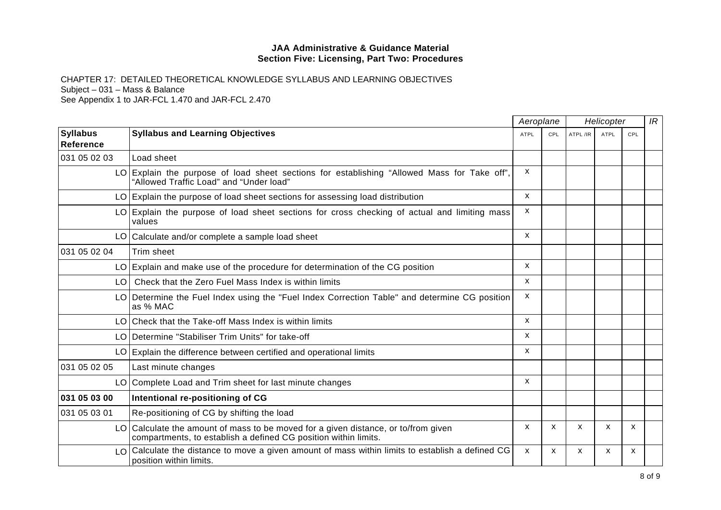CHAPTER 17: DETAILED THEORETICAL KNOWLEDGE SYLLABUS AND LEARNING OBJECTIVES Subject – 031 – Mass & Balance

|                                     |                                                                                                                                                       | Aeroplane    |            | Helicopter |      |     | IR |
|-------------------------------------|-------------------------------------------------------------------------------------------------------------------------------------------------------|--------------|------------|------------|------|-----|----|
| <b>Syllabus</b><br><b>Reference</b> | <b>Syllabus and Learning Objectives</b>                                                                                                               | ATPL         | <b>CPL</b> | ATPL /IR   | ATPL | CPL |    |
| 031 05 02 03                        | Load sheet                                                                                                                                            |              |            |            |      |     |    |
|                                     | LO Explain the purpose of load sheet sections for establishing "Allowed Mass for Take off",<br>"Allowed Traffic Load" and "Under load"                | X            |            |            |      |     |    |
|                                     | LO Explain the purpose of load sheet sections for assessing load distribution                                                                         | $\mathsf{x}$ |            |            |      |     |    |
|                                     | LO Explain the purpose of load sheet sections for cross checking of actual and limiting mass<br>values                                                | X            |            |            |      |     |    |
|                                     | LO Calculate and/or complete a sample load sheet                                                                                                      | X            |            |            |      |     |    |
| 031 05 02 04                        | Trim sheet                                                                                                                                            |              |            |            |      |     |    |
|                                     | LO Explain and make use of the procedure for determination of the CG position                                                                         | X            |            |            |      |     |    |
| LO I                                | Check that the Zero Fuel Mass Index is within limits                                                                                                  | X.           |            |            |      |     |    |
|                                     | LO Determine the Fuel Index using the "Fuel Index Correction Table" and determine CG position<br>as % MAC                                             | X            |            |            |      |     |    |
|                                     | LO Check that the Take-off Mass Index is within limits                                                                                                | X            |            |            |      |     |    |
|                                     | LO Determine "Stabiliser Trim Units" for take-off                                                                                                     | X            |            |            |      |     |    |
|                                     | LO Explain the difference between certified and operational limits                                                                                    | $\mathsf{x}$ |            |            |      |     |    |
| 031 05 02 05                        | Last minute changes                                                                                                                                   |              |            |            |      |     |    |
|                                     | LO Complete Load and Trim sheet for last minute changes                                                                                               | X.           |            |            |      |     |    |
| 031 05 03 00                        | Intentional re-positioning of CG                                                                                                                      |              |            |            |      |     |    |
| 031 05 03 01                        | Re-positioning of CG by shifting the load                                                                                                             |              |            |            |      |     |    |
|                                     | LO Calculate the amount of mass to be moved for a given distance, or to/from given<br>compartments, to establish a defined CG position within limits. | X            | X          | X          | X    | X   |    |
| $\overline{O}$                      | Calculate the distance to move a given amount of mass within limits to establish a defined CG<br>position within limits.                              | X            | X          | X          | X    | X   |    |